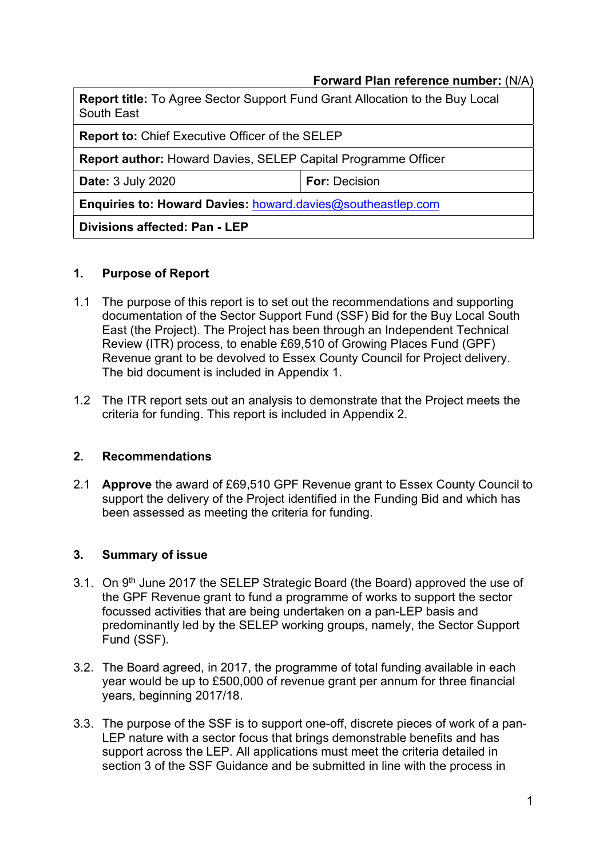## Forward Plan reference number: (N/A)

| Report title: To Agree Sector Support Fund Grant Allocation to the Buy Local<br>South East |                      |  |  |  |
|--------------------------------------------------------------------------------------------|----------------------|--|--|--|
| <b>Report to: Chief Executive Officer of the SELEP</b>                                     |                      |  |  |  |
| <b>Report author: Howard Davies, SELEP Capital Programme Officer</b>                       |                      |  |  |  |
| <b>Date: 3 July 2020</b>                                                                   | <b>For: Decision</b> |  |  |  |
| Enquiries to: Howard Davies: howard.davies@southeastlep.com                                |                      |  |  |  |
| Divisions affected: Pan - LEP                                                              |                      |  |  |  |

## 1. Purpose of Report

- 1.1 The purpose of this report is to set out the recommendations and supporting documentation of the Sector Support Fund (SSF) Bid for the Buy Local South East (the Project). The Project has been through an Independent Technical Review (ITR) process, to enable £69,510 of Growing Places Fund (GPF) Revenue grant to be devolved to Essex County Council for Project delivery. The bid document is included in Appendix 1.
- 1.2 The ITR report sets out an analysis to demonstrate that the Project meets the criteria for funding. This report is included in Appendix 2.

#### 2. Recommendations

2.1 Approve the award of £69,510 GPF Revenue grant to Essex County Council to support the delivery of the Project identified in the Funding Bid and which has been assessed as meeting the criteria for funding.

## 3. Summary of issue

- 3.1. On 9<sup>th</sup> June 2017 the SELEP Strategic Board (the Board) approved the use of the GPF Revenue grant to fund a programme of works to support the sector focussed activities that are being undertaken on a pan-LEP basis and predominantly led by the SELEP working groups, namely, the Sector Support Fund (SSF).
- 3.2. The Board agreed, in 2017, the programme of total funding available in each year would be up to £500,000 of revenue grant per annum for three financial years, beginning 2017/18.
- 3.3. The purpose of the SSF is to support one-off, discrete pieces of work of a pan-LEP nature with a sector focus that brings demonstrable benefits and has support across the LEP. All applications must meet the criteria detailed in section 3 of the SSF Guidance and be submitted in line with the process in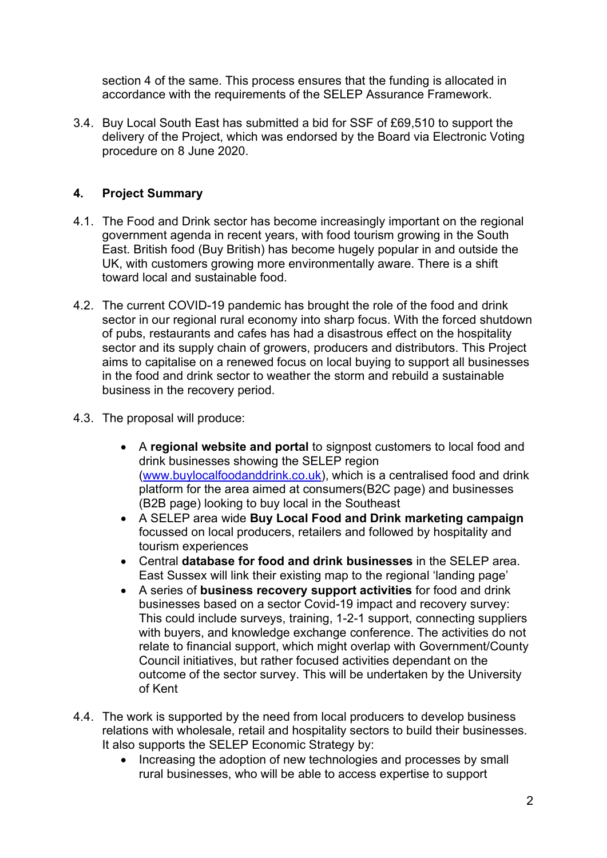section 4 of the same. This process ensures that the funding is allocated in accordance with the requirements of the SELEP Assurance Framework.

3.4. Buy Local South East has submitted a bid for SSF of £69,510 to support the delivery of the Project, which was endorsed by the Board via Electronic Voting procedure on 8 June 2020.

# 4. Project Summary

- 4.1. The Food and Drink sector has become increasingly important on the regional government agenda in recent years, with food tourism growing in the South East. British food (Buy British) has become hugely popular in and outside the UK, with customers growing more environmentally aware. There is a shift toward local and sustainable food.
- 4.2. The current COVID-19 pandemic has brought the role of the food and drink sector in our regional rural economy into sharp focus. With the forced shutdown of pubs, restaurants and cafes has had a disastrous effect on the hospitality sector and its supply chain of growers, producers and distributors. This Project aims to capitalise on a renewed focus on local buying to support all businesses in the food and drink sector to weather the storm and rebuild a sustainable business in the recovery period.
- 4.3. The proposal will produce:
	- A regional website and portal to signpost customers to local food and drink businesses showing the SELEP region (www.buylocalfoodanddrink.co.uk), which is a centralised food and drink platform for the area aimed at consumers(B2C page) and businesses (B2B page) looking to buy local in the Southeast
	- A SELEP area wide Buy Local Food and Drink marketing campaign focussed on local producers, retailers and followed by hospitality and tourism experiences
	- Central database for food and drink businesses in the SELEP area. East Sussex will link their existing map to the regional 'landing page'
	- A series of business recovery support activities for food and drink businesses based on a sector Covid-19 impact and recovery survey: This could include surveys, training, 1-2-1 support, connecting suppliers with buyers, and knowledge exchange conference. The activities do not relate to financial support, which might overlap with Government/County Council initiatives, but rather focused activities dependant on the outcome of the sector survey. This will be undertaken by the University of Kent
- 4.4. The work is supported by the need from local producers to develop business relations with wholesale, retail and hospitality sectors to build their businesses. It also supports the SELEP Economic Strategy by:
	- Increasing the adoption of new technologies and processes by small rural businesses, who will be able to access expertise to support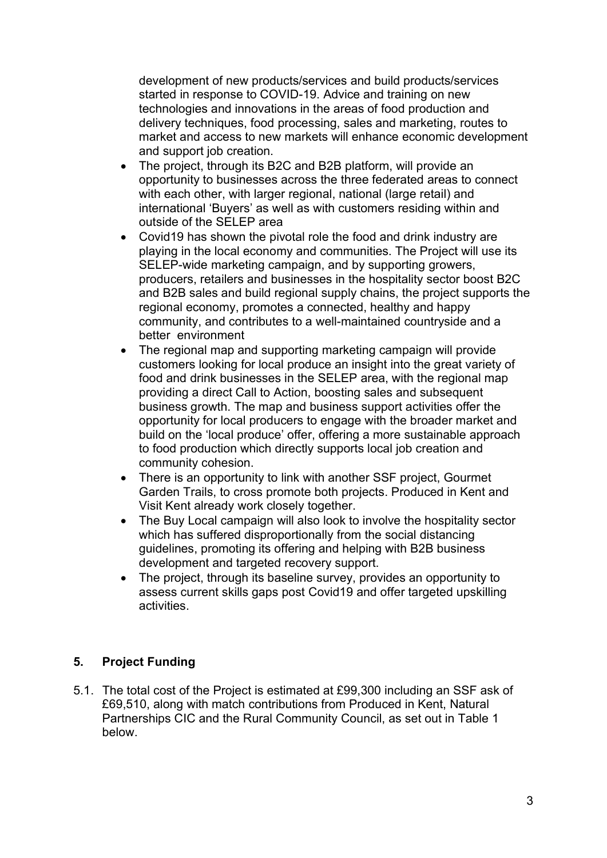development of new products/services and build products/services started in response to COVID-19. Advice and training on new technologies and innovations in the areas of food production and delivery techniques, food processing, sales and marketing, routes to market and access to new markets will enhance economic development and support job creation.

- The project, through its B2C and B2B platform, will provide an opportunity to businesses across the three federated areas to connect with each other, with larger regional, national (large retail) and international 'Buyers' as well as with customers residing within and outside of the SELEP area
- Covid19 has shown the pivotal role the food and drink industry are playing in the local economy and communities. The Project will use its SELEP-wide marketing campaign, and by supporting growers, producers, retailers and businesses in the hospitality sector boost B2C and B2B sales and build regional supply chains, the project supports the regional economy, promotes a connected, healthy and happy community, and contributes to a well-maintained countryside and a better environment
- The regional map and supporting marketing campaign will provide customers looking for local produce an insight into the great variety of food and drink businesses in the SELEP area, with the regional map providing a direct Call to Action, boosting sales and subsequent business growth. The map and business support activities offer the opportunity for local producers to engage with the broader market and build on the 'local produce' offer, offering a more sustainable approach to food production which directly supports local job creation and community cohesion.
- There is an opportunity to link with another SSF project, Gourmet Garden Trails, to cross promote both projects. Produced in Kent and Visit Kent already work closely together.
- The Buy Local campaign will also look to involve the hospitality sector which has suffered disproportionally from the social distancing guidelines, promoting its offering and helping with B2B business development and targeted recovery support.
- The project, through its baseline survey, provides an opportunity to assess current skills gaps post Covid19 and offer targeted upskilling activities.

## 5. Project Funding

5.1. The total cost of the Project is estimated at £99,300 including an SSF ask of £69,510, along with match contributions from Produced in Kent, Natural Partnerships CIC and the Rural Community Council, as set out in Table 1 below.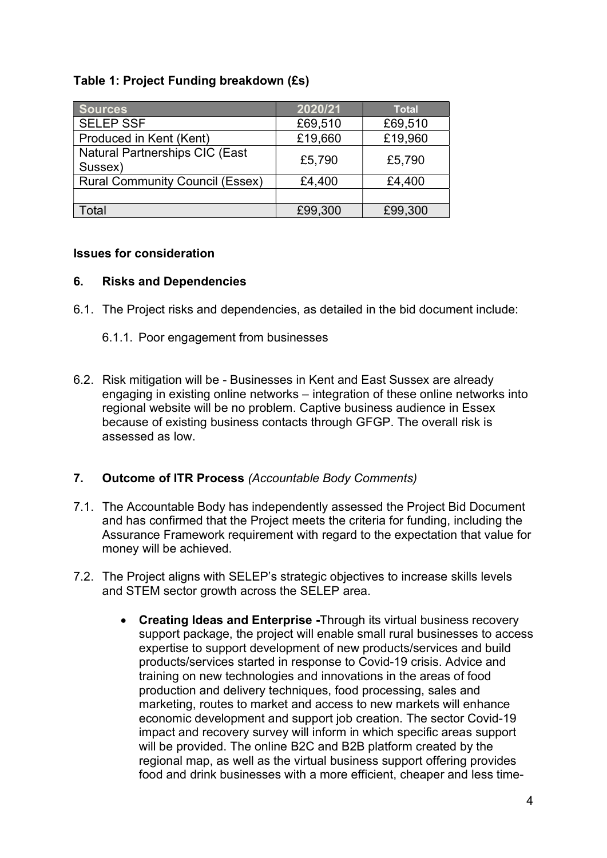# Table 1: Project Funding breakdown (£s)

| <b>Sources</b>                                   | 2020/21 | <b>Total</b> |
|--------------------------------------------------|---------|--------------|
| <b>SELEP SSF</b>                                 | £69,510 | £69,510      |
| Produced in Kent (Kent)                          | £19,660 | £19,960      |
| <b>Natural Partnerships CIC (East</b><br>Sussex) | £5,790  | £5,790       |
| <b>Rural Community Council (Essex)</b>           | £4,400  | £4,400       |
|                                                  |         |              |
| Total                                            | £99,300 | £99,300      |

## Issues for consideration

## 6. Risks and Dependencies

- 6.1. The Project risks and dependencies, as detailed in the bid document include:
	- 6.1.1. Poor engagement from businesses
- 6.2. Risk mitigation will be Businesses in Kent and East Sussex are already engaging in existing online networks – integration of these online networks into regional website will be no problem. Captive business audience in Essex because of existing business contacts through GFGP. The overall risk is assessed as low.

## 7. Outcome of ITR Process (Accountable Body Comments)

- 7.1. The Accountable Body has independently assessed the Project Bid Document and has confirmed that the Project meets the criteria for funding, including the Assurance Framework requirement with regard to the expectation that value for money will be achieved.
- 7.2. The Project aligns with SELEP's strategic objectives to increase skills levels and STEM sector growth across the SELEP area.
	- Creating Ideas and Enterprise -Through its virtual business recovery support package, the project will enable small rural businesses to access expertise to support development of new products/services and build products/services started in response to Covid-19 crisis. Advice and training on new technologies and innovations in the areas of food production and delivery techniques, food processing, sales and marketing, routes to market and access to new markets will enhance economic development and support job creation. The sector Covid-19 impact and recovery survey will inform in which specific areas support will be provided. The online B2C and B2B platform created by the regional map, as well as the virtual business support offering provides food and drink businesses with a more efficient, cheaper and less time-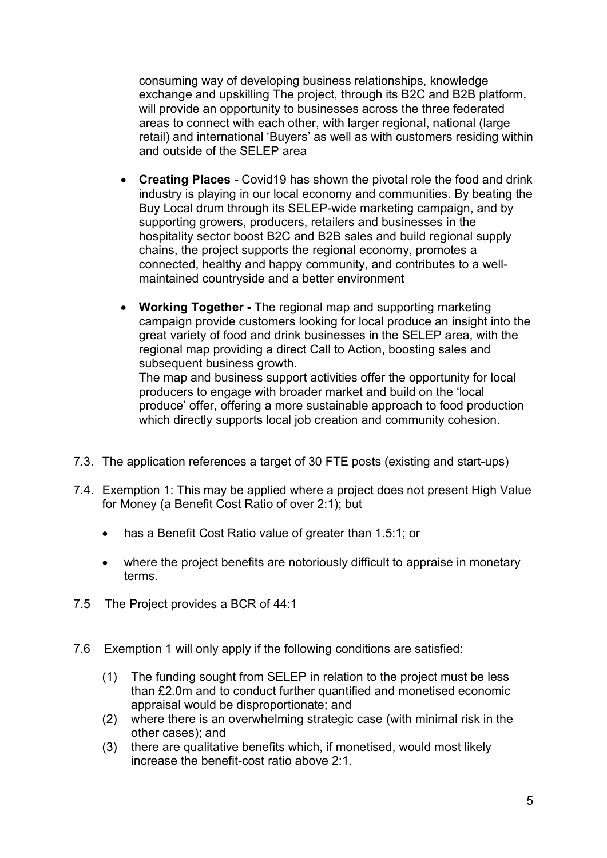consuming way of developing business relationships, knowledge exchange and upskilling The project, through its B2C and B2B platform, will provide an opportunity to businesses across the three federated areas to connect with each other, with larger regional, national (large retail) and international 'Buyers' as well as with customers residing within and outside of the SELEP area

- Creating Places Covid19 has shown the pivotal role the food and drink industry is playing in our local economy and communities. By beating the Buy Local drum through its SELEP-wide marketing campaign, and by supporting growers, producers, retailers and businesses in the hospitality sector boost B2C and B2B sales and build regional supply chains, the project supports the regional economy, promotes a connected, healthy and happy community, and contributes to a wellmaintained countryside and a better environment
- Working Together The regional map and supporting marketing campaign provide customers looking for local produce an insight into the great variety of food and drink businesses in the SELEP area, with the regional map providing a direct Call to Action, boosting sales and subsequent business growth.

The map and business support activities offer the opportunity for local producers to engage with broader market and build on the 'local produce' offer, offering a more sustainable approach to food production which directly supports local job creation and community cohesion.

- 7.3. The application references a target of 30 FTE posts (existing and start-ups)
- 7.4. Exemption 1: This may be applied where a project does not present High Value for Money (a Benefit Cost Ratio of over 2:1); but
	- has a Benefit Cost Ratio value of greater than 1.5:1; or
	- where the project benefits are notoriously difficult to appraise in monetary terms.
- 7.5 The Project provides a BCR of 44:1
- 7.6 Exemption 1 will only apply if the following conditions are satisfied:
	- (1) The funding sought from SELEP in relation to the project must be less than £2.0m and to conduct further quantified and monetised economic appraisal would be disproportionate; and
	- (2) where there is an overwhelming strategic case (with minimal risk in the other cases); and
	- (3) there are qualitative benefits which, if monetised, would most likely increase the benefit-cost ratio above 2:1.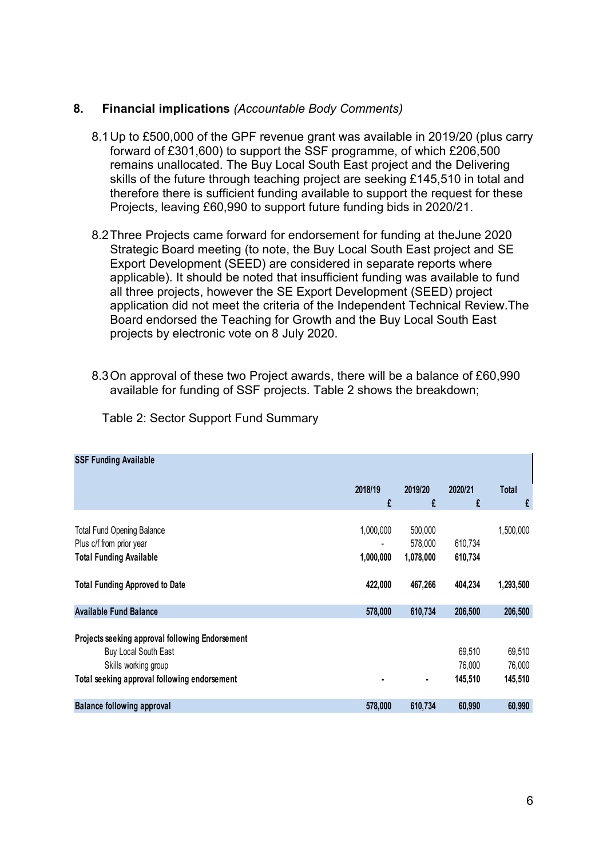#### 8. Financial implications (Accountable Body Comments)

- 8.1 Up to £500,000 of the GPF revenue grant was available in 2019/20 (plus carry forward of £301,600) to support the SSF programme, of which £206,500 remains unallocated. The Buy Local South East project and the Delivering skills of the future through teaching project are seeking £145,510 in total and therefore there is sufficient funding available to support the request for these Projects, leaving £60,990 to support future funding bids in 2020/21.
- 8.2 Three Projects came forward for endorsement for funding at theJune 2020 Strategic Board meeting (to note, the Buy Local South East project and SE Export Development (SEED) are considered in separate reports where applicable). It should be noted that insufficient funding was available to fund all three projects, however the SE Export Development (SEED) project application did not meet the criteria of the Independent Technical Review.The Board endorsed the Teaching for Growth and the Buy Local South East projects by electronic vote on 8 July 2020. 12018/19 2018/19 2019/20<br>
2018/19 2019/20 2020<br>
2018/19 2020 2020 21 South East project<br>
ependent (SEED) project<br>
ependent Technical Review.The<br>
the Buy Local South East<br>
re will be a balance of £60,990<br>
shows the breakdo
- 8.3 On approval of these two Project awards, there will be a balance of £60,990 available for funding of SSF projects. Table 2 shows the breakdown;

| 0.2 THICC FTOCCO CAME TOI WATU TOI CHUOISCHICHETOI TUMUMIY AT THCOUNC 2020<br>Strategic Board meeting (to note, the Buy Local South East project and SE<br>Export Development (SEED) are considered in separate reports where<br>applicable). It should be noted that insufficient funding was available to fund<br>all three projects, however the SE Export Development (SEED) project<br>application did not meet the criteria of the Independent Technical Review. The<br>Board endorsed the Teaching for Growth and the Buy Local South East<br>projects by electronic vote on 8 July 2020. |                        |                                 |                             |                             |  |  |
|--------------------------------------------------------------------------------------------------------------------------------------------------------------------------------------------------------------------------------------------------------------------------------------------------------------------------------------------------------------------------------------------------------------------------------------------------------------------------------------------------------------------------------------------------------------------------------------------------|------------------------|---------------------------------|-----------------------------|-----------------------------|--|--|
| 8.3 On approval of these two Project awards, there will be a balance of £60,990<br>available for funding of SSF projects. Table 2 shows the breakdown;                                                                                                                                                                                                                                                                                                                                                                                                                                           |                        |                                 |                             |                             |  |  |
| Table 2: Sector Support Fund Summary                                                                                                                                                                                                                                                                                                                                                                                                                                                                                                                                                             |                        |                                 |                             |                             |  |  |
| <b>SSF Funding Available</b>                                                                                                                                                                                                                                                                                                                                                                                                                                                                                                                                                                     |                        |                                 |                             |                             |  |  |
|                                                                                                                                                                                                                                                                                                                                                                                                                                                                                                                                                                                                  | 2018/19<br>£           | 2019/20<br>£                    | 2020/21<br>£                | Total                       |  |  |
| <b>Total Fund Opening Balance</b><br>Plus c/f from prior year<br><b>Total Funding Available</b>                                                                                                                                                                                                                                                                                                                                                                                                                                                                                                  | 1,000,000<br>1,000,000 | 500,000<br>578,000<br>1,078,000 | 610,734<br>610,734          | 1,500,000                   |  |  |
| <b>Total Funding Approved to Date</b>                                                                                                                                                                                                                                                                                                                                                                                                                                                                                                                                                            | 422,000                | 467,266                         | 404,234                     | 1,293,500                   |  |  |
| <b>Available Fund Balance</b>                                                                                                                                                                                                                                                                                                                                                                                                                                                                                                                                                                    | 578,000                | 610,734                         | 206,500                     | 206,500                     |  |  |
| Projects seeking approval following Endorsement<br>Buy Local South East<br>Skills working group<br>Total seeking approval following endorsement                                                                                                                                                                                                                                                                                                                                                                                                                                                  |                        |                                 | 69,510<br>76,000<br>145,510 | 69,510<br>76,000<br>145,510 |  |  |
|                                                                                                                                                                                                                                                                                                                                                                                                                                                                                                                                                                                                  |                        |                                 |                             |                             |  |  |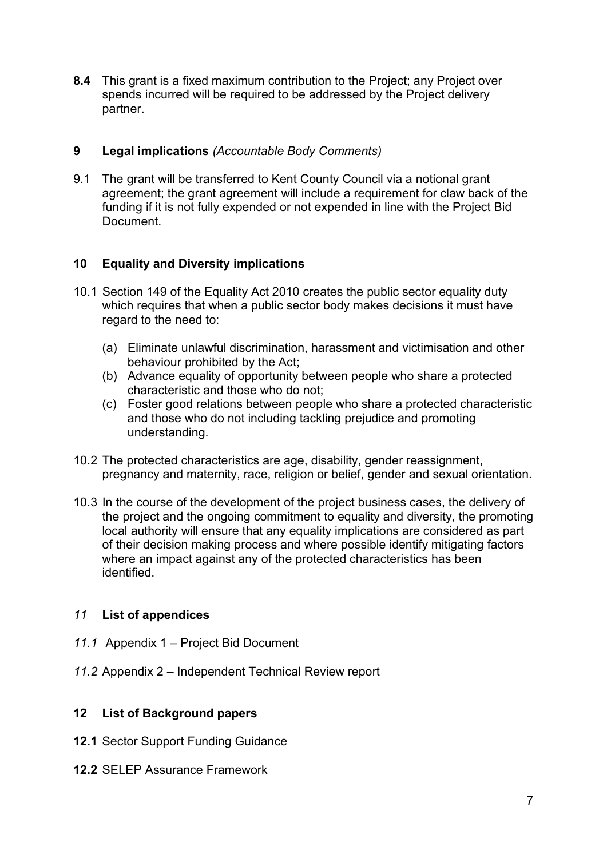8.4 This grant is a fixed maximum contribution to the Project; any Project over spends incurred will be required to be addressed by the Project delivery partner.

## 9 Legal implications (Accountable Body Comments)

9.1 The grant will be transferred to Kent County Council via a notional grant agreement; the grant agreement will include a requirement for claw back of the funding if it is not fully expended or not expended in line with the Project Bid Document.

## 10 Equality and Diversity implications

- 10.1 Section 149 of the Equality Act 2010 creates the public sector equality duty which requires that when a public sector body makes decisions it must have regard to the need to:
	- (a) Eliminate unlawful discrimination, harassment and victimisation and other behaviour prohibited by the Act;
	- (b) Advance equality of opportunity between people who share a protected characteristic and those who do not;
	- (c) Foster good relations between people who share a protected characteristic and those who do not including tackling prejudice and promoting understanding.
- 10.2 The protected characteristics are age, disability, gender reassignment, pregnancy and maternity, race, religion or belief, gender and sexual orientation.
- 10.3 In the course of the development of the project business cases, the delivery of the project and the ongoing commitment to equality and diversity, the promoting local authority will ensure that any equality implications are considered as part of their decision making process and where possible identify mitigating factors where an impact against any of the protected characteristics has been identified.

#### 11 List of appendices

- 11.1 Appendix 1 Project Bid Document
- 11.2 Appendix 2 Independent Technical Review report

## 12 List of Background papers

- 12.1 Sector Support Funding Guidance
- 12.2 SELEP Assurance Framework